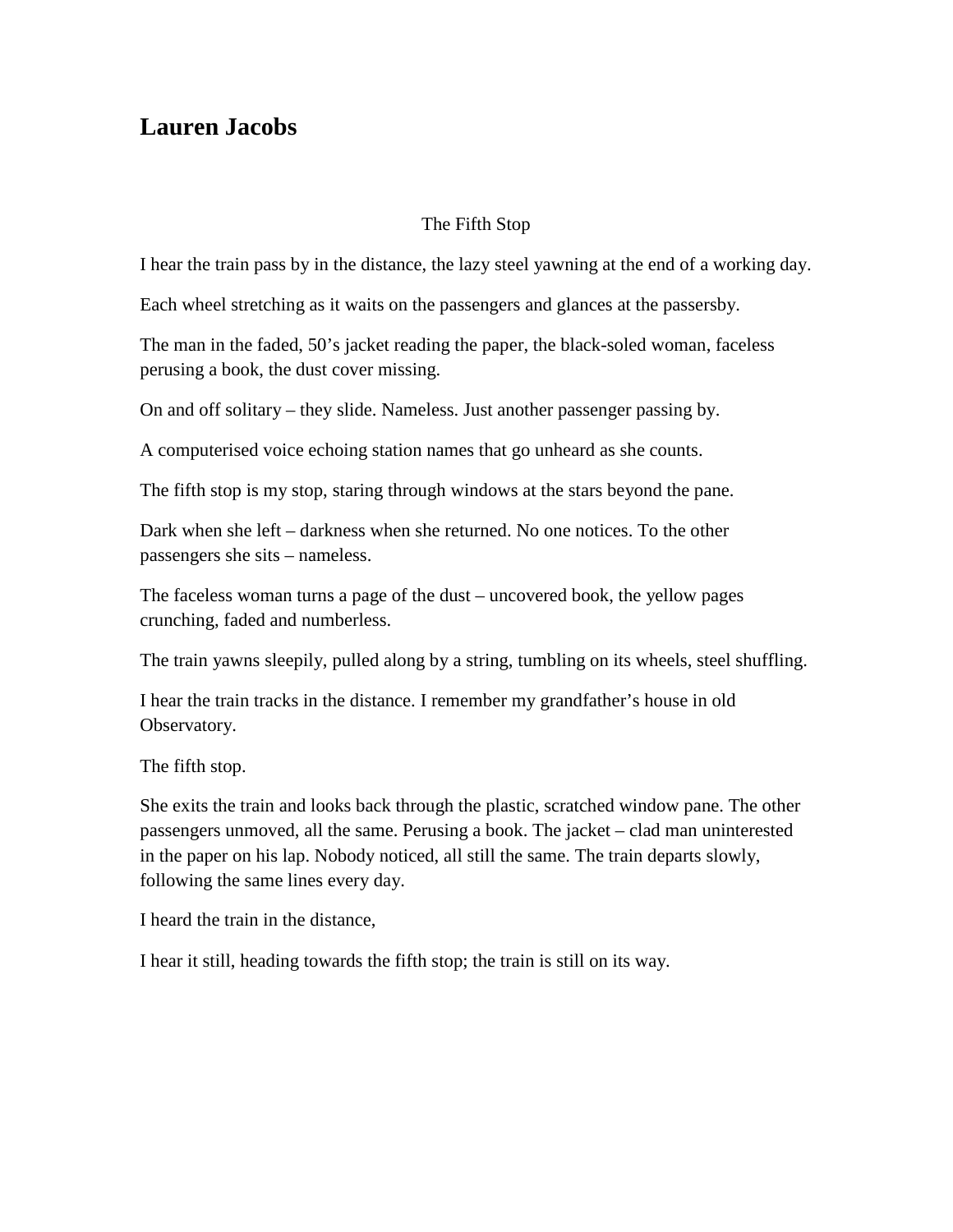## **Lauren Jacobs**

## The Fifth Stop

I hear the train pass by in the distance, the lazy steel yawning at the end of a working day.

Each wheel stretching as it waits on the passengers and glances at the passersby.

The man in the faded, 50's jacket reading the paper, the black-soled woman, faceless perusing a book, the dust cover missing.

On and off solitary – they slide. Nameless. Just another passenger passing by.

A computerised voice echoing station names that go unheard as she counts.

The fifth stop is my stop, staring through windows at the stars beyond the pane.

Dark when she left – darkness when she returned. No one notices. To the other passengers she sits – nameless.

The faceless woman turns a page of the dust – uncovered book, the yellow pages crunching, faded and numberless.

The train yawns sleepily, pulled along by a string, tumbling on its wheels, steel shuffling.

I hear the train tracks in the distance. I remember my grandfather's house in old Observatory.

The fifth stop.

She exits the train and looks back through the plastic, scratched window pane. The other passengers unmoved, all the same. Perusing a book. The jacket – clad man uninterested in the paper on his lap. Nobody noticed, all still the same. The train departs slowly, following the same lines every day.

I heard the train in the distance,

I hear it still, heading towards the fifth stop; the train is still on its way.